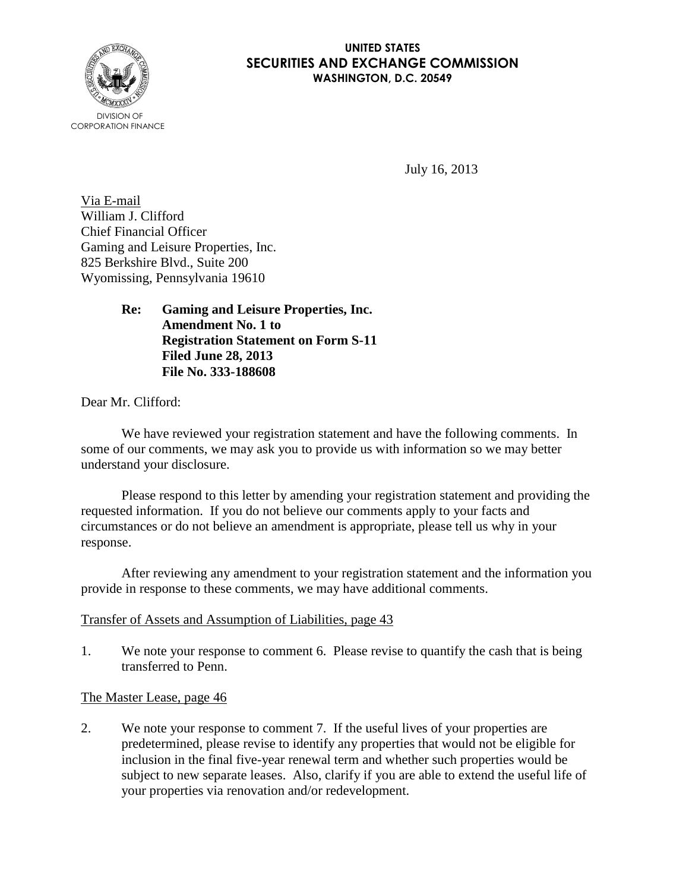

#### **UNITED STATES SECURITIES AND EXCHANGE COMMISSION WASHINGTON, D.C. 20549**

July 16, 2013

Via E-mail William J. Clifford Chief Financial Officer Gaming and Leisure Properties, Inc. 825 Berkshire Blvd., Suite 200 Wyomissing, Pennsylvania 19610

> **Re: Gaming and Leisure Properties, Inc. Amendment No. 1 to Registration Statement on Form S-11 Filed June 28, 2013 File No. 333-188608**

Dear Mr. Clifford:

We have reviewed your registration statement and have the following comments. In some of our comments, we may ask you to provide us with information so we may better understand your disclosure.

Please respond to this letter by amending your registration statement and providing the requested information. If you do not believe our comments apply to your facts and circumstances or do not believe an amendment is appropriate, please tell us why in your response.

After reviewing any amendment to your registration statement and the information you provide in response to these comments, we may have additional comments.

# Transfer of Assets and Assumption of Liabilities, page 43

1. We note your response to comment 6. Please revise to quantify the cash that is being transferred to Penn.

# The Master Lease, page 46

2. We note your response to comment 7. If the useful lives of your properties are predetermined, please revise to identify any properties that would not be eligible for inclusion in the final five-year renewal term and whether such properties would be subject to new separate leases. Also, clarify if you are able to extend the useful life of your properties via renovation and/or redevelopment.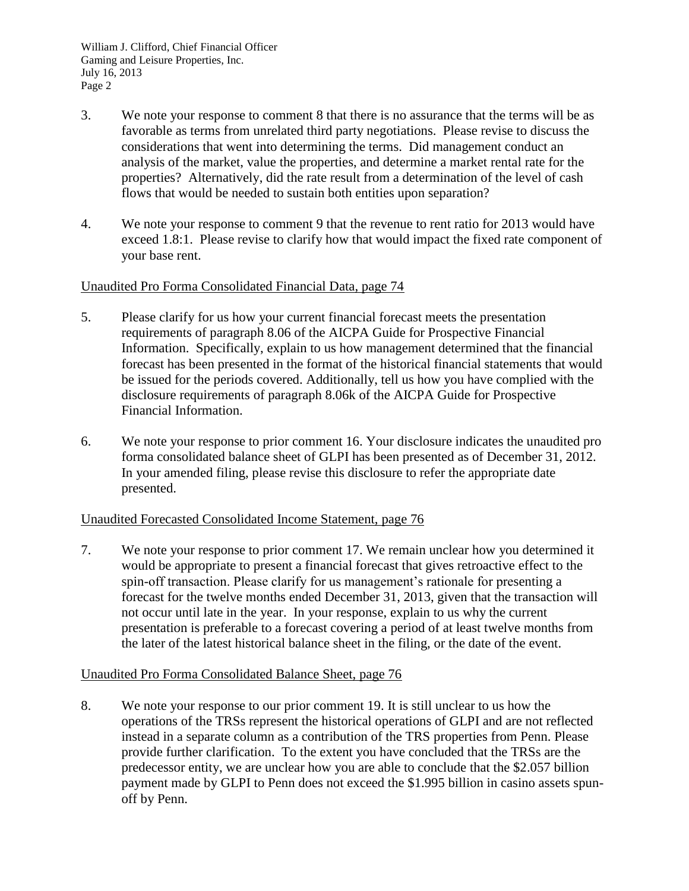- 3. We note your response to comment 8 that there is no assurance that the terms will be as favorable as terms from unrelated third party negotiations. Please revise to discuss the considerations that went into determining the terms. Did management conduct an analysis of the market, value the properties, and determine a market rental rate for the properties? Alternatively, did the rate result from a determination of the level of cash flows that would be needed to sustain both entities upon separation?
- 4. We note your response to comment 9 that the revenue to rent ratio for 2013 would have exceed 1.8:1. Please revise to clarify how that would impact the fixed rate component of your base rent.

## Unaudited Pro Forma Consolidated Financial Data, page 74

- 5. Please clarify for us how your current financial forecast meets the presentation requirements of paragraph 8.06 of the AICPA Guide for Prospective Financial Information. Specifically, explain to us how management determined that the financial forecast has been presented in the format of the historical financial statements that would be issued for the periods covered. Additionally, tell us how you have complied with the disclosure requirements of paragraph 8.06k of the AICPA Guide for Prospective Financial Information.
- 6. We note your response to prior comment 16. Your disclosure indicates the unaudited pro forma consolidated balance sheet of GLPI has been presented as of December 31, 2012. In your amended filing, please revise this disclosure to refer the appropriate date presented.

#### Unaudited Forecasted Consolidated Income Statement, page 76

7. We note your response to prior comment 17. We remain unclear how you determined it would be appropriate to present a financial forecast that gives retroactive effect to the spin-off transaction. Please clarify for us management's rationale for presenting a forecast for the twelve months ended December 31, 2013, given that the transaction will not occur until late in the year. In your response, explain to us why the current presentation is preferable to a forecast covering a period of at least twelve months from the later of the latest historical balance sheet in the filing, or the date of the event.

#### Unaudited Pro Forma Consolidated Balance Sheet, page 76

8. We note your response to our prior comment 19. It is still unclear to us how the operations of the TRSs represent the historical operations of GLPI and are not reflected instead in a separate column as a contribution of the TRS properties from Penn. Please provide further clarification. To the extent you have concluded that the TRSs are the predecessor entity, we are unclear how you are able to conclude that the \$2.057 billion payment made by GLPI to Penn does not exceed the \$1.995 billion in casino assets spunoff by Penn.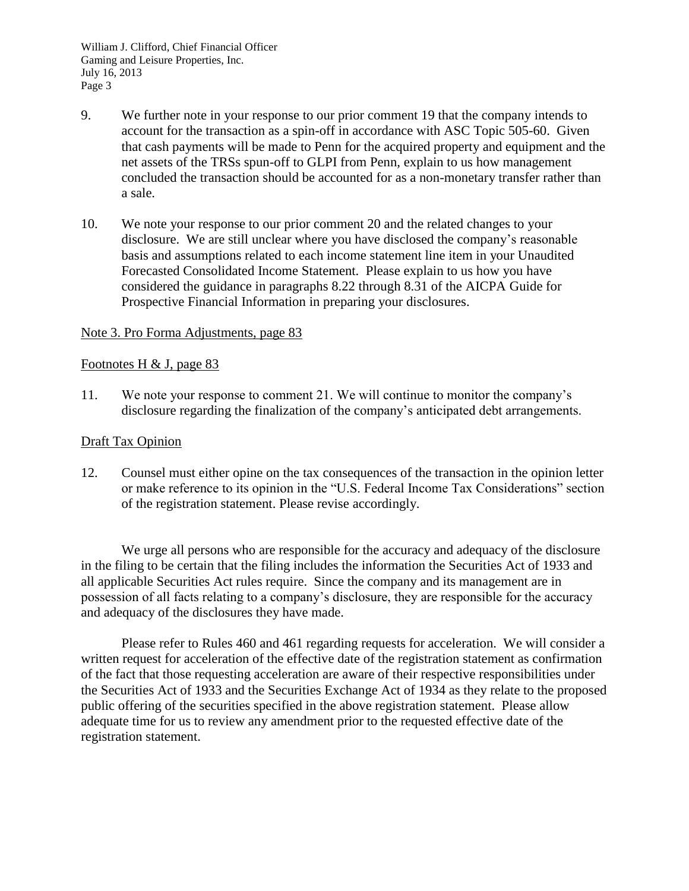- 9. We further note in your response to our prior comment 19 that the company intends to account for the transaction as a spin-off in accordance with ASC Topic 505-60. Given that cash payments will be made to Penn for the acquired property and equipment and the net assets of the TRSs spun-off to GLPI from Penn, explain to us how management concluded the transaction should be accounted for as a non-monetary transfer rather than a sale.
- 10. We note your response to our prior comment 20 and the related changes to your disclosure. We are still unclear where you have disclosed the company's reasonable basis and assumptions related to each income statement line item in your Unaudited Forecasted Consolidated Income Statement. Please explain to us how you have considered the guidance in paragraphs 8.22 through 8.31 of the AICPA Guide for Prospective Financial Information in preparing your disclosures.

#### Note 3. Pro Forma Adjustments, page 83

## Footnotes H  $&$  J, page 83

11. We note your response to comment 21. We will continue to monitor the company's disclosure regarding the finalization of the company's anticipated debt arrangements.

### Draft Tax Opinion

12. Counsel must either opine on the tax consequences of the transaction in the opinion letter or make reference to its opinion in the "U.S. Federal Income Tax Considerations" section of the registration statement. Please revise accordingly.

We urge all persons who are responsible for the accuracy and adequacy of the disclosure in the filing to be certain that the filing includes the information the Securities Act of 1933 and all applicable Securities Act rules require. Since the company and its management are in possession of all facts relating to a company's disclosure, they are responsible for the accuracy and adequacy of the disclosures they have made.

Please refer to Rules 460 and 461 regarding requests for acceleration. We will consider a written request for acceleration of the effective date of the registration statement as confirmation of the fact that those requesting acceleration are aware of their respective responsibilities under the Securities Act of 1933 and the Securities Exchange Act of 1934 as they relate to the proposed public offering of the securities specified in the above registration statement. Please allow adequate time for us to review any amendment prior to the requested effective date of the registration statement.